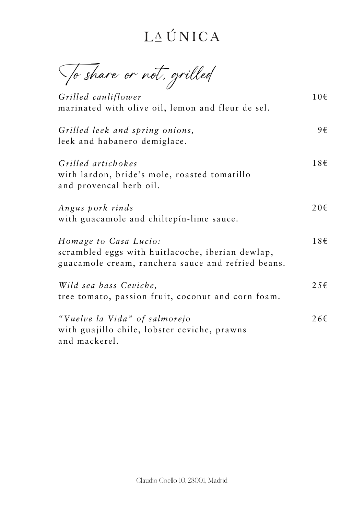To share or not, grilled

*Grilled cauliflower* marinated with olive oil, lemon and fleur de sel.

*Grilled leek and spring onions,* leek and habanero demiglace.

*Grilled artichokes* with lardon, bride's mole, roasted tomatillo and provencal herb oil.

*Homage to Casa Lucio:* scrambled eggs with huitlacoche, iberian dewlap, guacamole cream, ranchera sauce and refried beans.

*Angus pork rinds* with guacamole and chiltepín-lime sauce. 20€

*Wild sea bass Ceviche,* tree tomato, passion fruit, coconut and corn foam. 25€

*"Vuelve la Vida" of salmorejo* with guajillo chile, lobster ceviche, prawns and mackerel.

10€

9€

18€

18€

26€

Claudio Coello 10, 28001, Madrid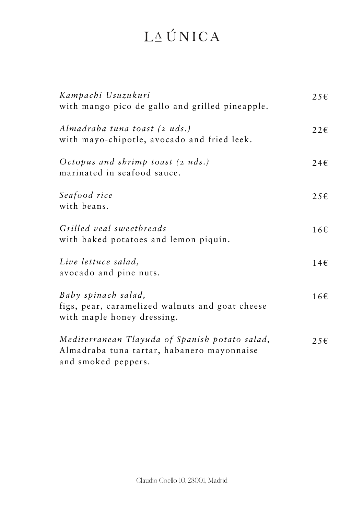*Octopus and shrimp toast (2 uds.)* marinated in seafood sauce.

*Seafood rice* with beans.

*Grilled veal sweetbreads* with baked potatoes and lemon piquín.

### LAUNICA

*Kampachi Usuzukuri* with mango pico de gallo and grilled pineapple. 25€

*Almadraba tuna toast (2 uds.)* with mayo-chipotle, avocado and fried leek. 22€

*Live lettuce salad,* avocado and pine nuts.

*Baby spinach salad,* figs, pear, caramelized walnuts and goat cheese

*Mediterranean Tlayuda of Spanish potato salad,* Almadraba tuna tartar, habanero mayonnaise and smoked peppers.

24€

25€

16€

14€

with maple honey dressing.

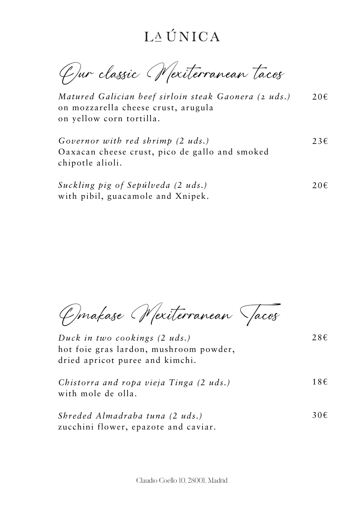23€

20€

### LAUNICA

Our classic Mexiterranean tacos

20€ *Matured Galician beef sirloin steak Gaonera (2 uds.)* on mozzarella cheese crust, arugula on yellow corn tortilla.

*Governor with red shrimp (2 uds.)* Oaxacan cheese crust, pico de gallo and smoked

chipotle alioli.

*Suckling pig of Sepúlveda (2 uds.)* with pibil, guacamole and Xnipek.

28€

30€

Omakase Mexiterranean Tacos

*Duck in two cookings (2 uds.)* hot foie gras lardon, mushroom powder, dried apricot puree and kimchi.

18€ *Chistorra and ropa vieja Tinga (2 uds.)* with mole de olla.

*Shreded Almadraba tuna (2 uds.)* zucchini flower, epazote and caviar.

Claudio Coello 10, 28001, Madrid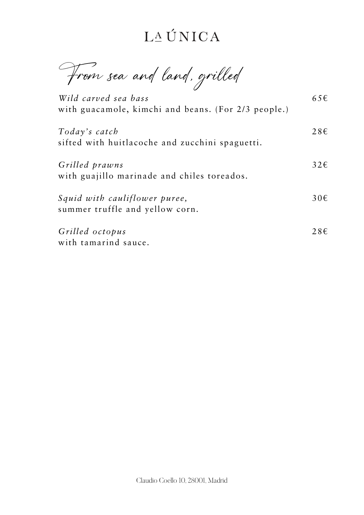From sea and land, grilled

*Today's catch* sifted with huitlacoche and zucchini spaguetti.

*Wild carved sea bass* with guacamole, kimchi and beans. (For 2/3 people.) 65€

*Grilled prawns* with guajillo marinade and chiles toreados.

*Squid with cauliflower puree,* summer truffle and yellow corn.

*Grilled octopus* with tamarind sauce. 28€

32€

30€

28€

Claudio Coello 10, 28001, Madrid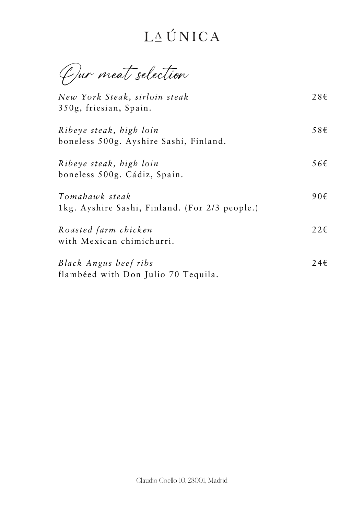Our meat selection

*New York Steak, sirloin steak* 350g, friesian, Spain.

*Ribeye steak, high loin* boneless 500g. Ayshire Sashi, Finland.

*Ribeye steak, high loin* boneless 500g. Cádiz, Spain.

*Tomahawk steak* 1kg. Ayshire Sashi, Finland. (For 2/3 people.)

*Roasted farm chicken* with Mexican chimichurri.

*Black Angus beef ribs* flambéed with Don Julio 70 Tequila. 28€

58€

56€

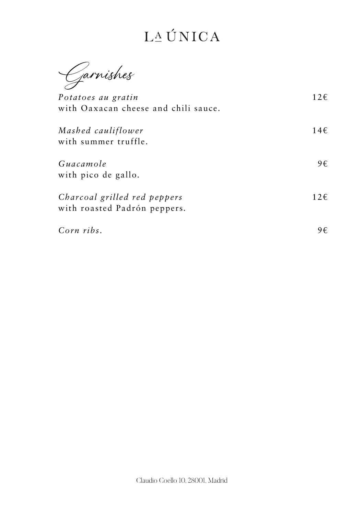Garnishes

*Potatoes au gratin* with Oaxacan cheese and chili sauce.

*Mashed cauliflower* with summer truffle.

*Guacamole* with pico de gallo*.*

*Charcoal grilled red peppers* with roasted Padrón peppers*.*

*Corn ribs.*

12€

14€

12€